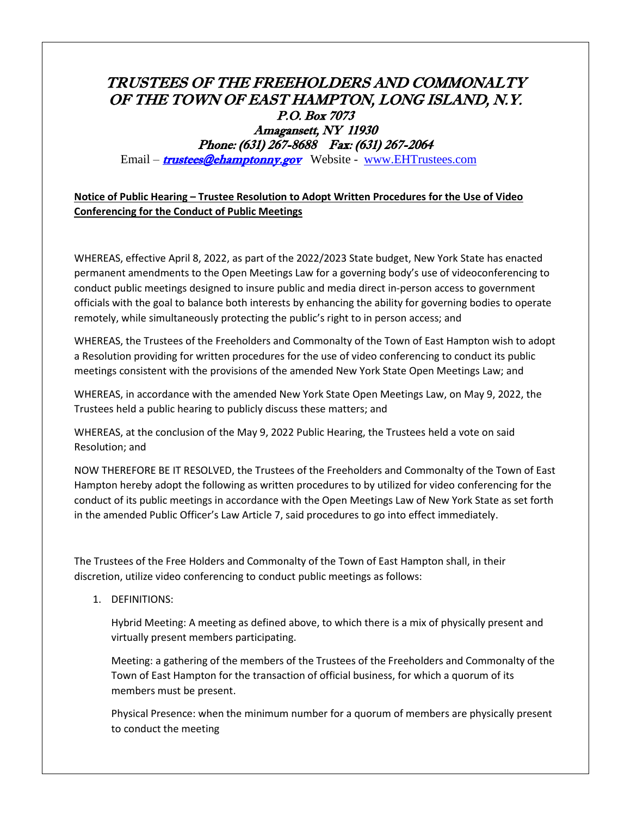## TRUSTEES OF THE FREEHOLDERS AND COMMONALTY OF THE TOWN OF EAST HAMPTON, LONG ISLAND, N.Y. P.O. Box 7073 Amagansett, NY 11930 Phone: (631) 267-8688 Fax: (631) 267-2064

Email – **[trustees@ehamptonny.gov](mailto:trustees@ehamptonny.gov)** Website - [www.EHTrustees.com](http://www.ehtrustees.com/)

## **Notice of Public Hearing – Trustee Resolution to Adopt Written Procedures for the Use of Video Conferencing for the Conduct of Public Meetings**

WHEREAS, effective April 8, 2022, as part of the 2022/2023 State budget, New York State has enacted permanent amendments to the Open Meetings Law for a governing body's use of videoconferencing to conduct public meetings designed to insure public and media direct in-person access to government officials with the goal to balance both interests by enhancing the ability for governing bodies to operate remotely, while simultaneously protecting the public's right to in person access; and

WHEREAS, the Trustees of the Freeholders and Commonalty of the Town of East Hampton wish to adopt a Resolution providing for written procedures for the use of video conferencing to conduct its public meetings consistent with the provisions of the amended New York State Open Meetings Law; and

WHEREAS, in accordance with the amended New York State Open Meetings Law, on May 9, 2022, the Trustees held a public hearing to publicly discuss these matters; and

WHEREAS, at the conclusion of the May 9, 2022 Public Hearing, the Trustees held a vote on said Resolution; and

NOW THEREFORE BE IT RESOLVED, the Trustees of the Freeholders and Commonalty of the Town of East Hampton hereby adopt the following as written procedures to by utilized for video conferencing for the conduct of its public meetings in accordance with the Open Meetings Law of New York State as set forth in the amended Public Officer's Law Article 7, said procedures to go into effect immediately.

The Trustees of the Free Holders and Commonalty of the Town of East Hampton shall, in their discretion, utilize video conferencing to conduct public meetings as follows:

1. DEFINITIONS:

Hybrid Meeting: A meeting as defined above, to which there is a mix of physically present and virtually present members participating.

Meeting: a gathering of the members of the Trustees of the Freeholders and Commonalty of the Town of East Hampton for the transaction of official business, for which a quorum of its members must be present.

Physical Presence: when the minimum number for a quorum of members are physically present to conduct the meeting